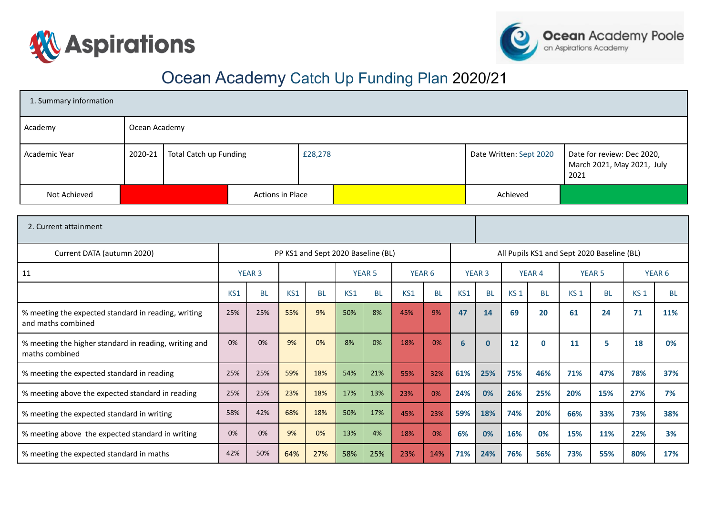



# Ocean Academy Catch Up Funding Plan 2020/21

| 1. Summary information |               |                        |                  |         |  |                         |                                                                  |  |  |  |
|------------------------|---------------|------------------------|------------------|---------|--|-------------------------|------------------------------------------------------------------|--|--|--|
| Academy                | Ocean Academy |                        |                  |         |  |                         |                                                                  |  |  |  |
| Academic Year          | $2020 - 21$   | Total Catch up Funding |                  | £28,278 |  | Date Written: Sept 2020 | Date for review: Dec 2020,<br>March 2021, May 2021, July<br>2021 |  |  |  |
| Not Achieved           |               |                        | Actions in Place |         |  | Achieved                |                                                                  |  |  |  |

| 2. Current attainment                                                     |     |               |     |                                    |               |           |                   |           |               |                                            |                   |           |                 |           |                   |           |
|---------------------------------------------------------------------------|-----|---------------|-----|------------------------------------|---------------|-----------|-------------------|-----------|---------------|--------------------------------------------|-------------------|-----------|-----------------|-----------|-------------------|-----------|
| Current DATA (autumn 2020)                                                |     |               |     | PP KS1 and Sept 2020 Baseline (BL) |               |           |                   |           |               | All Pupils KS1 and Sept 2020 Baseline (BL) |                   |           |                 |           |                   |           |
| 11                                                                        |     | <b>YEAR 3</b> |     |                                    | <b>YEAR 5</b> |           | YEAR <sub>6</sub> |           | <b>YEAR 3</b> |                                            | YEAR <sub>4</sub> |           | <b>YEAR 5</b>   |           | YEAR <sub>6</sub> |           |
|                                                                           | KS1 | <b>BL</b>     | KS1 | <b>BL</b>                          | KS1           | <b>BL</b> | KS1               | <b>BL</b> | KS1           | <b>BL</b>                                  | KS <sub>1</sub>   | <b>BL</b> | KS <sub>1</sub> | <b>BL</b> | KS <sub>1</sub>   | <b>BL</b> |
| % meeting the expected standard in reading, writing<br>and maths combined | 25% | 25%           | 55% | 9%                                 | 50%           | 8%        | 45%               | 9%        | 47            | 14                                         | 69                | 20        | 61              | 24        | 71                | 11%       |
| % meeting the higher standard in reading, writing and<br>maths combined   | 0%  | 0%            | 9%  | 0%                                 | 8%            | 0%        | 18%               | 0%        | 6             | $\mathbf{0}$                               | 12                | $\bf{0}$  | 11              | 5         | 18                | 0%        |
| % meeting the expected standard in reading                                | 25% | 25%           | 59% | 18%                                | 54%           | 21%       | 55%               | 32%       | 61%           | 25%                                        | 75%               | 46%       | 71%             | 47%       | 78%               | 37%       |
| % meeting above the expected standard in reading                          | 25% | 25%           | 23% | 18%                                | 17%           | 13%       | 23%               | 0%        | 24%           | 0%                                         | 26%               | 25%       | 20%             | 15%       | 27%               | 7%        |
| % meeting the expected standard in writing                                | 58% | 42%           | 68% | 18%                                | 50%           | 17%       | 45%               | 23%       | 59%           | 18%                                        | 74%               | 20%       | 66%             | 33%       | 73%               | 38%       |
| % meeting above the expected standard in writing                          | 0%  | 0%            | 9%  | 0%                                 | 13%           | 4%        | 18%               | 0%        | 6%            | 0%                                         | 16%               | 0%        | 15%             | 11%       | 22%               | 3%        |
| % meeting the expected standard in maths                                  | 42% | 50%           | 64% | 27%                                | 58%           | 25%       | 23%               | 14%       | 71%           | 24%                                        | 76%               | 56%       | 73%             | 55%       | 80%               | 17%       |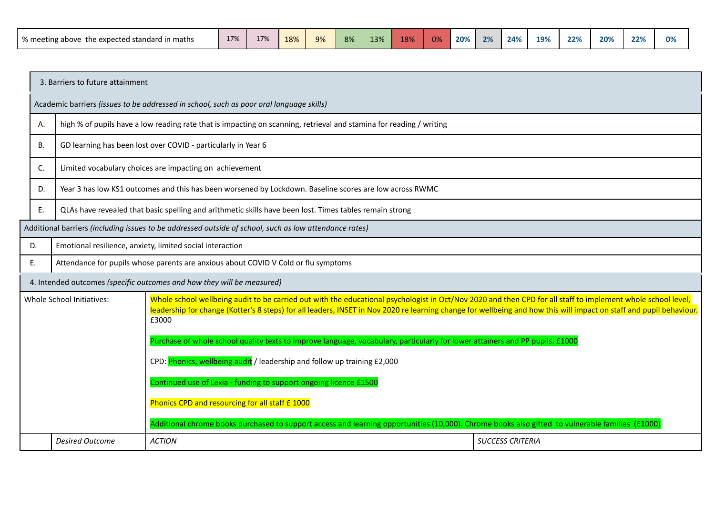| the expected standard in maths !<br>∧ meeting above the | 17% | 17% | 18% | Q <sub>2</sub><br>$J\Lambda$ | 8% | 13% | 18% | በ% | 20% | 2% | 24% | 19% | 22% | 20% | 22% | 0% |
|---------------------------------------------------------|-----|-----|-----|------------------------------|----|-----|-----|----|-----|----|-----|-----|-----|-----|-----|----|
|---------------------------------------------------------|-----|-----|-----|------------------------------|----|-----|-----|----|-----|----|-----|-----|-----|-----|-----|----|

|    | 3. Barriers to future attainment                                                                        |                                                                                                                                                                                                                                                                                                                                                                                                                                                                               |                         |  |  |  |  |  |
|----|---------------------------------------------------------------------------------------------------------|-------------------------------------------------------------------------------------------------------------------------------------------------------------------------------------------------------------------------------------------------------------------------------------------------------------------------------------------------------------------------------------------------------------------------------------------------------------------------------|-------------------------|--|--|--|--|--|
|    | Academic barriers (issues to be addressed in school, such as poor oral language skills)                 |                                                                                                                                                                                                                                                                                                                                                                                                                                                                               |                         |  |  |  |  |  |
| Α. |                                                                                                         | high % of pupils have a low reading rate that is impacting on scanning, retrieval and stamina for reading / writing                                                                                                                                                                                                                                                                                                                                                           |                         |  |  |  |  |  |
| В. |                                                                                                         | GD learning has been lost over COVID - particularly in Year 6                                                                                                                                                                                                                                                                                                                                                                                                                 |                         |  |  |  |  |  |
| C. |                                                                                                         | Limited vocabulary choices are impacting on achievement                                                                                                                                                                                                                                                                                                                                                                                                                       |                         |  |  |  |  |  |
| D. | Year 3 has low KS1 outcomes and this has been worsened by Lockdown. Baseline scores are low across RWMC |                                                                                                                                                                                                                                                                                                                                                                                                                                                                               |                         |  |  |  |  |  |
| Е. | QLAs have revealed that basic spelling and arithmetic skills have been lost. Times tables remain strong |                                                                                                                                                                                                                                                                                                                                                                                                                                                                               |                         |  |  |  |  |  |
|    | Additional barriers (including issues to be addressed outside of school, such as low attendance rates)  |                                                                                                                                                                                                                                                                                                                                                                                                                                                                               |                         |  |  |  |  |  |
| D. | Emotional resilience, anxiety, limited social interaction                                               |                                                                                                                                                                                                                                                                                                                                                                                                                                                                               |                         |  |  |  |  |  |
| Ε. | Attendance for pupils whose parents are anxious about COVID V Cold or flu symptoms                      |                                                                                                                                                                                                                                                                                                                                                                                                                                                                               |                         |  |  |  |  |  |
|    |                                                                                                         | 4. Intended outcomes (specific outcomes and how they will be measured)                                                                                                                                                                                                                                                                                                                                                                                                        |                         |  |  |  |  |  |
|    | Whole School Initiatives:                                                                               | Whole school wellbeing audit to be carried out with the educational psychologist in Oct/Nov 2020 and then CPD for all staff to implement whole school level,<br>leadership for change (Kotter's 8 steps) for all leaders, INSET in Nov 2020 re learning change for wellbeing and how this will impact on staff and pupil behaviour.<br>£3000<br>Purchase of whole school quality texts to improve language, vocabulary, particularly for lower attainers and PP pupils. £1000 |                         |  |  |  |  |  |
|    | CPD: Phonics, wellbeing audit / leadership and follow up training £2,000                                |                                                                                                                                                                                                                                                                                                                                                                                                                                                                               |                         |  |  |  |  |  |
|    | Continued use of Lexia - funding to support ongoing licence £1500                                       |                                                                                                                                                                                                                                                                                                                                                                                                                                                                               |                         |  |  |  |  |  |
|    | Phonics CPD and resourcing for all staff £ 1000                                                         |                                                                                                                                                                                                                                                                                                                                                                                                                                                                               |                         |  |  |  |  |  |
|    |                                                                                                         | Additional chrome books purchased to support access and learning opportunities (10,000). Chrome books also gifted to vulnerable families (£1000)                                                                                                                                                                                                                                                                                                                              |                         |  |  |  |  |  |
|    | <b>Desired Outcome</b>                                                                                  | <b>ACTION</b>                                                                                                                                                                                                                                                                                                                                                                                                                                                                 | <b>SUCCESS CRITERIA</b> |  |  |  |  |  |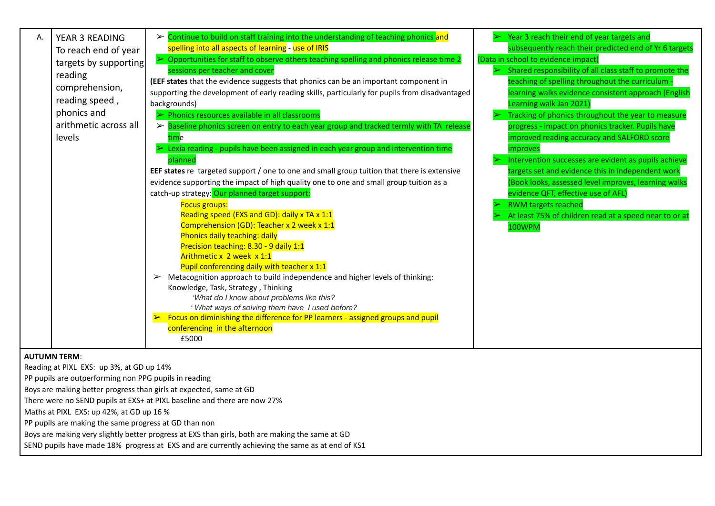| Α.<br>reading<br>levels | YEAR 3 READING<br>To reach end of year<br>targets by supporting<br>comprehension,<br>reading speed,<br>phonics and<br>arithmetic across all                                                            | $\triangleright$ Continue to build on staff training into the understanding of teaching phonics and<br>spelling into all aspects of learning - use of IRIS<br>$\triangleright$ Opportunities for staff to observe others teaching spelling and phonics release time 2<br>sessions per teacher and cover<br>(EEF states that the evidence suggests that phonics can be an important component in<br>supporting the development of early reading skills, particularly for pupils from disadvantaged<br>backgrounds)<br>Phonics resources available in all classrooms<br>> Baseline phonics screen on entry to each year group and tracked termly with TA release<br>time<br>Lexia reading - pupils have been assigned in each year group and intervention time<br>planned<br>EEF states re targeted support / one to one and small group tuition that there is extensive<br>evidence supporting the impact of high quality one to one and small group tuition as a<br>catch-up strategy: Our planned target support:<br>Focus groups:<br>Reading speed (EXS and GD): daily x TA x 1:1<br>Comprehension (GD): Teacher x 2 week x 1:1<br>Phonics daily teaching: daily<br>Precision teaching: 8.30 - 9 daily 1:1<br>Arithmetic x 2 week x 1:1<br>Pupil conferencing daily with teacher x 1:1<br>Metacognition approach to build independence and higher levels of thinking:<br>➤<br>Knowledge, Task, Strategy, Thinking<br>'What do I know about problems like this?<br>' What ways of solving them have I used before?<br>Focus on diminishing the difference for PP learners - assigned groups and pupil<br>conferencing in the afternoon<br>£5000 | Year 3 reach their end of year targets and<br>subsequently reach their predicted end of Yr 6 targets<br>(Data in school to evidence impact)<br>Shared responsibility of all class staff to promote the<br>teaching of spelling throughout the curriculum<br>earning walks evidence consistent approach (English<br>earning walk Jan 2021<br>Tracking of phonics throughout the year to measure<br>progress - impact on phonics tracker. Pupils have<br>mproved reading accuracy and SALFORD score<br>mproves<br>Intervention successes are evident as pupils achieve<br>targets set and evidence this in independent work<br>(Book looks, assessed level improves, learning walks<br>evidence QFT, effective use of AFL)<br><b>RWM targets reached</b><br>At least 75% of children read at a speed near to or at<br>100WPM |
|-------------------------|--------------------------------------------------------------------------------------------------------------------------------------------------------------------------------------------------------|--------------------------------------------------------------------------------------------------------------------------------------------------------------------------------------------------------------------------------------------------------------------------------------------------------------------------------------------------------------------------------------------------------------------------------------------------------------------------------------------------------------------------------------------------------------------------------------------------------------------------------------------------------------------------------------------------------------------------------------------------------------------------------------------------------------------------------------------------------------------------------------------------------------------------------------------------------------------------------------------------------------------------------------------------------------------------------------------------------------------------------------------------------------------------------------------------------------------------------------------------------------------------------------------------------------------------------------------------------------------------------------------------------------------------------------------------------------------------------------------------------------------------------------------------------------------------------------------------------------------------------------------------|----------------------------------------------------------------------------------------------------------------------------------------------------------------------------------------------------------------------------------------------------------------------------------------------------------------------------------------------------------------------------------------------------------------------------------------------------------------------------------------------------------------------------------------------------------------------------------------------------------------------------------------------------------------------------------------------------------------------------------------------------------------------------------------------------------------------------|
| <b>AUTUMN TERM:</b>     | Reading at PIXL EXS: up 3%, at GD up 14%<br>PP pupils are outperforming non PPG pupils in reading<br>Maths at PIXL EXS: up 42%, at GD up 16 %<br>PP pupils are making the same progress at GD than non | Boys are making better progress than girls at expected, same at GD<br>There were no SEND pupils at EXS+ at PIXL baseline and there are now 27%<br>$\mathbf{r}$ , and the contract of the contract of the contract of the contract of the contract of the contract of the contract of the contract of the contract of the contract of the contract of the contract of the contract o                                                                                                                                                                                                                                                                                                                                                                                                                                                                                                                                                                                                                                                                                                                                                                                                                                                                                                                                                                                                                                                                                                                                                                                                                                                              |                                                                                                                                                                                                                                                                                                                                                                                                                                                                                                                                                                                                                                                                                                                                                                                                                            |

Boys are making very slightly better progress at EXS than girls, both are making the same at GD

SEND pupils have made 18% progress at EXS and are currently achieving the same as at end of KS1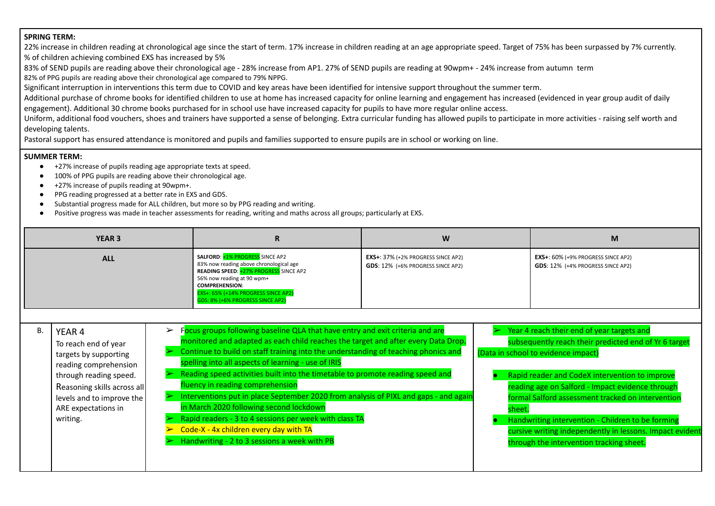#### **SPRING TERM:**

22% increase in children reading at chronological age since the start of term. 17% increase in children reading at an age appropriate speed. Target of 75% has been surpassed by 7% currently. % of children achieving combined EXS has increased by 5%

83% of SEND pupils are reading above their chronological age - 28% increase from AP1. 27% of SEND pupils are reading at 90wpm+ - 24% increase from autumn term 82% of PPG pupils are reading above their chronological age compared to 79% NPPG.

Significant interruption in interventions this term due to COVID and key areas have been identified for intensive support throughout the summer term.

Additional purchase of chrome books for identified children to use at home has increased capacity for online learning and engagement has increased (evidenced in year group audit of daily

engagement). Additional 30 chrome books purchased for in school use have increased capacity for pupils to have more regular online access.

Uniform, additional food vouchers, shoes and trainers have supported a sense of belonging. Extra curricular funding has allowed pupils to participate in more activities - raising self worth and developing talents.

Pastoral support has ensured attendance is monitored and pupils and families supported to ensure pupils are in school or working on line.

#### **SUMMER TERM:**

- +27% increase of pupils reading age appropriate texts at speed.
- 100% of PPG pupils are reading above their chronological age.
- +27% increase of pupils reading at 90wpm+.
- PPG reading progressed at a better rate in EXS and GDS.
- Substantial progress made for ALL children, but more so by PPG reading and writing.
- Positive progress was made in teacher assessments for reading, writing and maths across all groups; particularly at EXS.

| <b>YEAR 3</b> | n                                                                                                                                                                                                                                                                    | W                                                                              | M                                                                          |
|---------------|----------------------------------------------------------------------------------------------------------------------------------------------------------------------------------------------------------------------------------------------------------------------|--------------------------------------------------------------------------------|----------------------------------------------------------------------------|
| <b>ALL</b>    | <b>SALFORD: +1% PROGRESS SINCE AP2</b><br>83% now reading above chronological age<br><b>READING SPEED: +27% PROGRESS SINCE AP2</b><br>56% now reading at 90 wpm+<br><b>COMPREHENSION:</b><br>EXS+: 65% (+14% PROGRESS SINCE AP2)<br>GDS: 8% (+6% PROGRESS SINCE AP2) | <b>EXS+: 37% (+2% PROGRESS SINCE AP2)</b><br>GDS: 12% (+6% PROGRESS SINCE AP2) | $EXS+: 60\%$ (+9% PROGRESS SINCE AP2)<br>GDS: 12% (+4% PROGRESS SINCE AP2) |

B. | YEAR 4

To reach end of year targets by supporting reading comprehension through reading speed. Reasoning skills across all levels and to improve the ARE expectations in writing.

- $\triangleright$  Focus groups following baseline QLA that have entry and exit criteria and are monitored and adapted as each child reaches the target and after every Data Drop. ➢ Continue to build on staff training into the understanding of teaching phonics and spelling into all aspects of learning - use of IRIS  $\triangleright$  Reading speed activities built into the timetable to promote reading speed and  $\triangleright$  Year 4 reach their end of year targets and subsequently reach their predicted end of Yr 6 target (Data in school to evidence impact)
	- fluency in reading comprehension
- ➢ Interventions put in place September 2020 from analysis of PIXL and gaps and again in March 2020 following second lockdown
	- ➢ Rapid readers 3 to 4 sessions per week with class TA
- $\triangleright$  Code-X 4x children every day with TA
- ➢ Handwriting 2 to 3 sessions a week with PB
- Rapid reader and CodeX intervention to improve reading age on Salford - Impact evidence through formal Salford assessment tracked on intervention sheet.
- Handwriting intervention Children to be forming cursive writing independently in lessons. Impact evident through the intervention tracking sheet.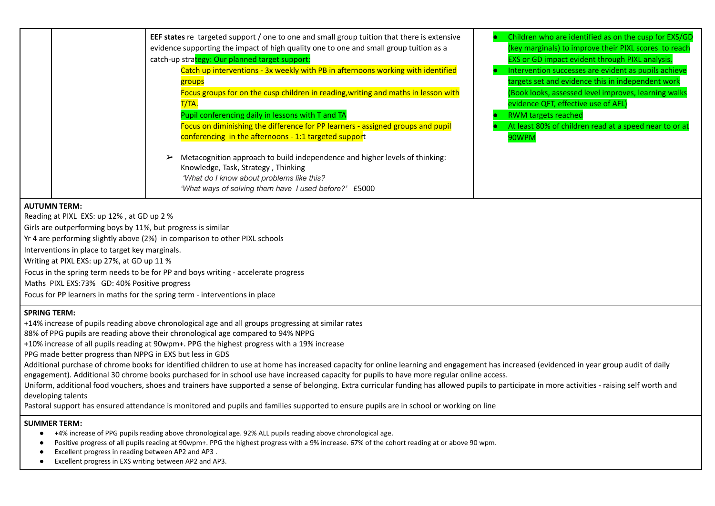|                                                              | EEF states re targeted support / one to one and small group tuition that there is extensive | Children who are identified as on the cusp for EXS/GD  |
|--------------------------------------------------------------|---------------------------------------------------------------------------------------------|--------------------------------------------------------|
|                                                              | evidence supporting the impact of high quality one to one and small group tuition as a      | (key marginals) to improve their PIXL scores to reach  |
|                                                              | catch-up strategy: Our planned target support:                                              | <b>EXS or GD impact evident through PIXL analysis.</b> |
|                                                              | Catch up interventions - 3x weekly with PB in afternoons working with identified            | Intervention successes are evident as pupils achieve   |
|                                                              | groups                                                                                      | targets set and evidence this in independent work      |
|                                                              | Focus groups for on the cusp children in reading, writing and maths in lesson with          | (Book looks, assessed level improves, learning walks   |
|                                                              | T/TA.                                                                                       | evidence QFT, effective use of AFL)                    |
|                                                              | Pupil conferencing daily in lessons with T and TA                                           | <b>RWM targets reached</b>                             |
|                                                              | Focus on diminishing the difference for PP learners - assigned groups and pupil             | At least 80% of children read at a speed near to or at |
|                                                              | conferencing in the afternoons - 1:1 targeted support                                       | 90WPM                                                  |
|                                                              |                                                                                             |                                                        |
|                                                              | Metacognition approach to build independence and higher levels of thinking:                 |                                                        |
|                                                              | Knowledge, Task, Strategy, Thinking                                                         |                                                        |
|                                                              | 'What do I know about problems like this?                                                   |                                                        |
|                                                              | 'What ways of solving them have I used before?' £5000                                       |                                                        |
| <b>AUTUMN TERM:</b>                                          |                                                                                             |                                                        |
| Reading at PIXL EXS: up 12%, at GD up 2 %                    |                                                                                             |                                                        |
| Girls are outperforming boys by 11%, but progress is similar |                                                                                             |                                                        |
|                                                              | Yr 4 are performing slightly above (2%) in comparison to other PIXL schools                 |                                                        |
| Interventions in place to target key marginals.              |                                                                                             |                                                        |
| Writing at PIXL EXS: up 27%, at GD up 11 %                   |                                                                                             |                                                        |
|                                                              | Focus in the spring term needs to be for PP and boys writing - accelerate progress          |                                                        |
| Maths PIXL EXS:73% GD: 40% Positive progress                 |                                                                                             |                                                        |
|                                                              | Focus for PP learners in maths for the spring term - interventions in place                 |                                                        |

#### **SPRING TERM:**

+14% increase of pupils reading above chronological age and all groups progressing at similar rates

88% of PPG pupils are reading above their chronological age compared to 94% NPPG

+10% increase of all pupils reading at 90wpm+. PPG the highest progress with a 19% increase

PPG made better progress than NPPG in EXS but less in GDS

Additional purchase of chrome books for identified children to use at home has increased capacity for online learning and engagement has increased (evidenced in year group audit of daily

engagement). Additional 30 chrome books purchased for in school use have increased capacity for pupils to have more regular online access.

Uniform, additional food vouchers, shoes and trainers have supported a sense of belonging. Extra curricular funding has allowed pupils to participate in more activities - raising self worth and developing talents

Pastoral support has ensured attendance is monitored and pupils and families supported to ensure pupils are in school or working on line

#### **SUMMER TERM:**

- +4% increase of PPG pupils reading above chronological age. 92% ALL pupils reading above chronological age.
- Positive progress of all pupils reading at 90wpm+. PPG the highest progress with a 9% increase. 67% of the cohort reading at or above 90 wpm.
- Excellent progress in reading between AP2 and AP3.
- Excellent progress in EXS writing between AP2 and AP3.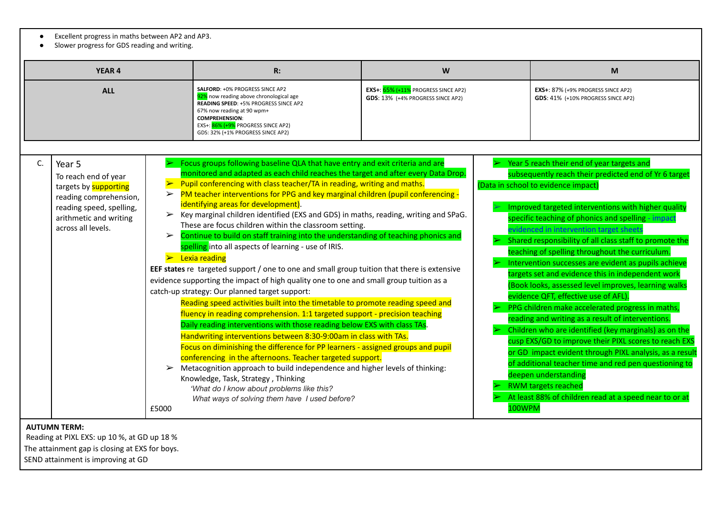- Excellent progress in maths between AP2 and AP3.
- Slower progress for GDS reading and writing.

| <b>YEAR 4</b> |                                                                                                                                                               |                                          | R:                                                                                                                                                                                                                                                                                                                                                                                                                                                                                                                                                                                                                                                                                                                                                                                                                                                                                                                                                                                                                                                                                                                                                                                                                                                                                                                                                                                                                                                                                                                                                                                                                                        | W                                                                           |        | M                                                                                                                                                                                                                                                                                                                                                                                                                                                                                                                                                                                                                                                                                                                                                                                                                                                                                                                                                                                                                                                                                            |
|---------------|---------------------------------------------------------------------------------------------------------------------------------------------------------------|------------------------------------------|-------------------------------------------------------------------------------------------------------------------------------------------------------------------------------------------------------------------------------------------------------------------------------------------------------------------------------------------------------------------------------------------------------------------------------------------------------------------------------------------------------------------------------------------------------------------------------------------------------------------------------------------------------------------------------------------------------------------------------------------------------------------------------------------------------------------------------------------------------------------------------------------------------------------------------------------------------------------------------------------------------------------------------------------------------------------------------------------------------------------------------------------------------------------------------------------------------------------------------------------------------------------------------------------------------------------------------------------------------------------------------------------------------------------------------------------------------------------------------------------------------------------------------------------------------------------------------------------------------------------------------------------|-----------------------------------------------------------------------------|--------|----------------------------------------------------------------------------------------------------------------------------------------------------------------------------------------------------------------------------------------------------------------------------------------------------------------------------------------------------------------------------------------------------------------------------------------------------------------------------------------------------------------------------------------------------------------------------------------------------------------------------------------------------------------------------------------------------------------------------------------------------------------------------------------------------------------------------------------------------------------------------------------------------------------------------------------------------------------------------------------------------------------------------------------------------------------------------------------------|
| <b>ALL</b>    |                                                                                                                                                               |                                          | SALFORD: +0% PROGRESS SINCE AP2<br>92% now reading above chronological age<br>READING SPEED: +5% PROGRESS SINCE AP2<br>67% now reading at 90 wpm+<br><b>COMPREHENSION:</b><br>EXS+: 86% (+9% PROGRESS SINCE AP2)<br>GDS: 32% (+1% PROGRESS SINCE AP2)                                                                                                                                                                                                                                                                                                                                                                                                                                                                                                                                                                                                                                                                                                                                                                                                                                                                                                                                                                                                                                                                                                                                                                                                                                                                                                                                                                                     | EXS+: $65\%$ (+11% PROGRESS SINCE AP2)<br>GDS: 13% (+4% PROGRESS SINCE AP2) |        | EXS+: 87% (+9% PROGRESS SINCE AP2)<br>GDS: 41% (+10% PROGRESS SINCE AP2)                                                                                                                                                                                                                                                                                                                                                                                                                                                                                                                                                                                                                                                                                                                                                                                                                                                                                                                                                                                                                     |
| C.            | Year 5<br>To reach end of year<br>targets by supporting<br>reading comprehension,<br>reading speed, spelling,<br>arithmetic and writing<br>across all levels. | $\blacktriangleright$<br>➤<br>➤<br>£5000 | Focus groups following baseline QLA that have entry and exit criteria and are<br>monitored and adapted as each child reaches the target and after every Data Drop.<br>Pupil conferencing with class teacher/TA in reading, writing and maths.<br>PM teacher interventions for PPG and key marginal children (pupil conferencing -<br>identifying areas for development).<br>Key marginal children identified (EXS and GDS) in maths, reading, writing and SPaG.<br>These are focus children within the classroom setting.<br>Continue to build on staff training into the understanding of teaching phonics and<br>spelling into all aspects of learning - use of IRIS.<br>$\triangleright$ Lexia reading<br>EEF states re targeted support / one to one and small group tuition that there is extensive<br>evidence supporting the impact of high quality one to one and small group tuition as a<br>catch-up strategy: Our planned target support:<br>Reading speed activities built into the timetable to promote reading speed and<br>fluency in reading comprehension. 1:1 targeted support - precision teaching<br>Daily reading interventions with those reading below EXS with class TAs.<br>Handwriting interventions between 8:30-9:00am in class with TAs.<br>Focus on diminishing the difference for PP learners - assigned groups and pupil<br>conferencing in the afternoons. Teacher targeted support.<br>Metacognition approach to build independence and higher levels of thinking:<br>Knowledge, Task, Strategy, Thinking<br>'What do I know about problems like this?<br>What ways of solving them have I used before? |                                                                             | 100WPM | Year 5 reach their end of year targets and<br>subsequently reach their predicted end of Yr 6 target<br>(Data in school to evidence impact)<br>Improved targeted interventions with higher quality<br>specific teaching of phonics and spelling - impact<br>evidenced in intervention target sheets<br>Shared responsibility of all class staff to promote the<br>teaching of spelling throughout the curriculum.<br>Intervention successes are evident as pupils achieve<br>targets set and evidence this in independent work<br>(Book looks, assessed level improves, learning walks<br>evidence QFT, effective use of AFL).<br>PPG children make accelerated progress in maths,<br>reading and writing as a result of interventions.<br>Children who are identified (key marginals) as on the<br>cusp EXS/GD to improve their PIXL scores to reach EXS<br>or GD impact evident through PIXL analysis, as a result<br>of additional teacher time and red pen questioning to<br>deepen understanding<br><b>RWM targets reached</b><br>At least 88% of children read at a speed near to or at |

# **AUTUMN TERM:**

Reading at PIXL EXS: up 10 %, at GD up 18 %

The attainment gap is closing at EXS for boys.

SEND attainment is improving at GD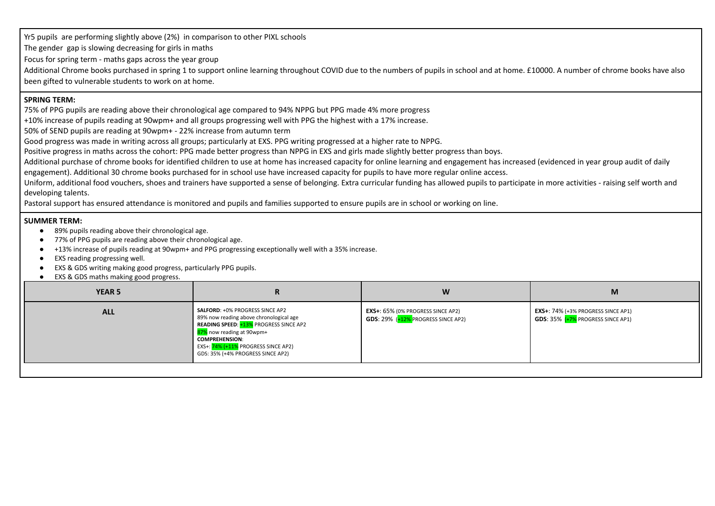Yr5 pupils are performing slightly above (2%) in comparison to other PIXL schools

The gender gap is slowing decreasing for girls in maths

Focus for spring term - maths gaps across the year group

Additional Chrome books purchased in spring 1 to support online learning throughout COVID due to the numbers of pupils in school and at home. £10000. A number of chrome books have also been gifted to vulnerable students to work on at home.

#### **SPRING TERM:**

75% of PPG pupils are reading above their chronological age compared to 94% NPPG but PPG made 4% more progress

+10% increase of pupils reading at 90wpm+ and all groups progressing well with PPG the highest with a 17% increase.

50% of SEND pupils are reading at 90wpm+ - 22% increase from autumn term

Good progress was made in writing across all groups; particularly at EXS. PPG writing progressed at a higher rate to NPPG.

Positive progress in maths across the cohort: PPG made better progress than NPPG in EXS and girls made slightly better progress than boys.

Additional purchase of chrome books for identified children to use at home has increased capacity for online learning and engagement has increased (evidenced in year group audit of daily engagement). Additional 30 chrome books purchased for in school use have increased capacity for pupils to have more regular online access.

Uniform, additional food vouchers, shoes and trainers have supported a sense of belonging. Extra curricular funding has allowed pupils to participate in more activities - raising self worth and developing talents.

Pastoral support has ensured attendance is monitored and pupils and families supported to ensure pupils are in school or working on line.

#### **SUMMER TERM:**

- 89% pupils reading above their chronological age.
- 77% of PPG pupils are reading above their chronological age.
- +13% increase of pupils reading at 90wpm+ and PPG progressing exceptionally well with a 35% increase.
- **EXS reading progressing well.**
- **EXS & GDS writing making good progress, particularly PPG pupils.**
- **EXS & GDS maths making good progress.**

| <b>YEAR 5</b> | ĸ                                                                                                                                                                                                                                                                    | W                                                                                           | М                                                                                       |
|---------------|----------------------------------------------------------------------------------------------------------------------------------------------------------------------------------------------------------------------------------------------------------------------|---------------------------------------------------------------------------------------------|-----------------------------------------------------------------------------------------|
| <b>ALL</b>    | <b>SALFORD: +0% PROGRESS SINCE AP2</b><br>89% now reading above chronological age<br><b>READING SPEED: +13% PROGRESS SINCE AP2</b><br>87% now reading at 90wpm+<br><b>COMPREHENSION:</b><br>EXS+: 74% (+11% PROGRESS SINCE AP2)<br>GDS: 35% (+4% PROGRESS SINCE AP2) | <b>EXS+:</b> $65\%$ (0% PROGRESS SINCE AP2)<br><b>GDS:</b> 29% $(+12\%$ PROGRESS SINCE AP2) | $EXS$ +: 74% (+3% PROGRESS SINCE AP1)<br><b>GDS:</b> $35\%$ $(+7\%$ PROGRESS SINCE AP1) |
|               |                                                                                                                                                                                                                                                                      |                                                                                             |                                                                                         |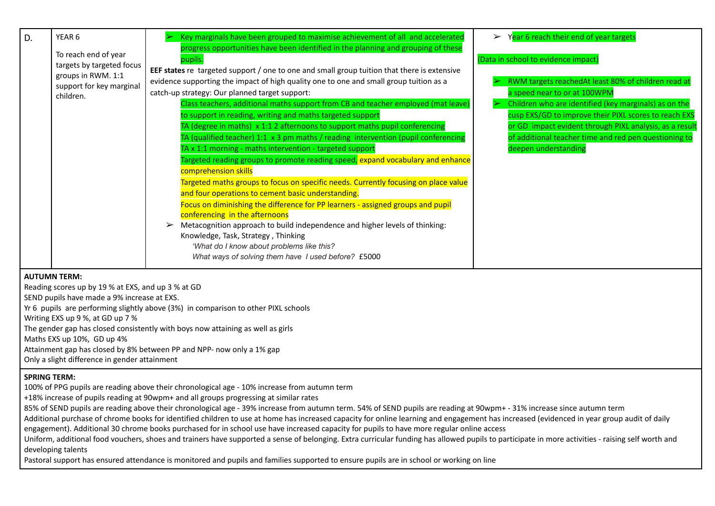| YEAR 6<br>D.                                                                                                     | Key marginals have been grouped to maximise achievement of all and accelerated                                                                                                                                                                                                                                                                                                                                                                                                                                                                                                                                                                                                                                                                                                                                                                                                                                                                                                                                                                                                                                                                                                                                                       | Year 6 reach their end of year targets<br>$\blacktriangleright$                                                                                                                                                                                                                                                                                                                          |
|------------------------------------------------------------------------------------------------------------------|--------------------------------------------------------------------------------------------------------------------------------------------------------------------------------------------------------------------------------------------------------------------------------------------------------------------------------------------------------------------------------------------------------------------------------------------------------------------------------------------------------------------------------------------------------------------------------------------------------------------------------------------------------------------------------------------------------------------------------------------------------------------------------------------------------------------------------------------------------------------------------------------------------------------------------------------------------------------------------------------------------------------------------------------------------------------------------------------------------------------------------------------------------------------------------------------------------------------------------------|------------------------------------------------------------------------------------------------------------------------------------------------------------------------------------------------------------------------------------------------------------------------------------------------------------------------------------------------------------------------------------------|
| To reach end of year<br>targets by targeted focus<br>groups in RWM. 1:1<br>support for key marginal<br>children. | progress opportunities have been identified in the planning and grouping of these<br>pupils.<br>EEF states re targeted support / one to one and small group tuition that there is extensive<br>evidence supporting the impact of high quality one to one and small group tuition as a<br>catch-up strategy: Our planned target support:<br>Class teachers, additional maths support from CB and teacher employed (mat leave)<br>to support in reading, writing and maths targeted support<br>TA (degree in maths) x 1:1 2 afternoons to support maths pupil conferencing<br>TA (qualified teacher) 1:1 $\times$ 3 pm maths / reading intervention (pupil conferencing<br>TA x 1:1 morning - maths intervention - targeted support<br>Targeted reading groups to promote reading speed, expand vocabulary and enhance<br>comprehension skills<br>Targeted maths groups to focus on specific needs. Currently focusing on place value<br>and four operations to cement basic understanding.<br>Focus on diminishing the difference for PP learners - assigned groups and pupil<br>conferencing in the afternoons<br>Metacognition approach to build independence and higher levels of thinking:<br>Knowledge, Task, Strategy, Thinking | (Data in school to evidence impact)<br>RWM targets reachedAt least 80% of children read at<br>a speed near to or at 100WPM<br>Children who are identified (key marginals) as on the<br>cusp EXS/GD to improve their PIXL scores to reach EXS<br>or GD impact evident through PIXL analysis, as a result<br>of additional teacher time and red pen questioning to<br>deepen understanding |
| ALITUIMAN TEDM.                                                                                                  | 'What do I know about problems like this?<br>What ways of solving them have I used before? £5000                                                                                                                                                                                                                                                                                                                                                                                                                                                                                                                                                                                                                                                                                                                                                                                                                                                                                                                                                                                                                                                                                                                                     |                                                                                                                                                                                                                                                                                                                                                                                          |

## **AUTUMN TERM:**

Reading scores up by 19 % at EXS, and up 3 % at GD SEND pupils have made a 9% increase at EXS. Yr 6 pupils are performing slightly above (3%) in comparison to other PIXL schools Writing EXS up 9 %, at GD up 7 % The gender gap has closed consistently with boys now attaining as well as girls

Maths EXS up 10%, GD up 4%

Attainment gap has closed by 8% between PP and NPP- now only a 1% gap

Only a slight difference in gender attainment

## **SPRING TERM:**

100% of PPG pupils are reading above their chronological age - 10% increase from autumn term

+18% increase of pupils reading at 90wpm+ and all groups progressing at similar rates

85% of SEND pupils are reading above their chronological age - 39% increase from autumn term. 54% of SEND pupils are reading at 90wpm+ - 31% increase since autumn term

Additional purchase of chrome books for identified children to use at home has increased capacity for online learning and engagement has increased (evidenced in year group audit of daily engagement). Additional 30 chrome books purchased for in school use have increased capacity for pupils to have more regular online access

Uniform, additional food vouchers, shoes and trainers have supported a sense of belonging. Extra curricular funding has allowed pupils to participate in more activities - raising self worth and developing talents

Pastoral support has ensured attendance is monitored and pupils and families supported to ensure pupils are in school or working on line